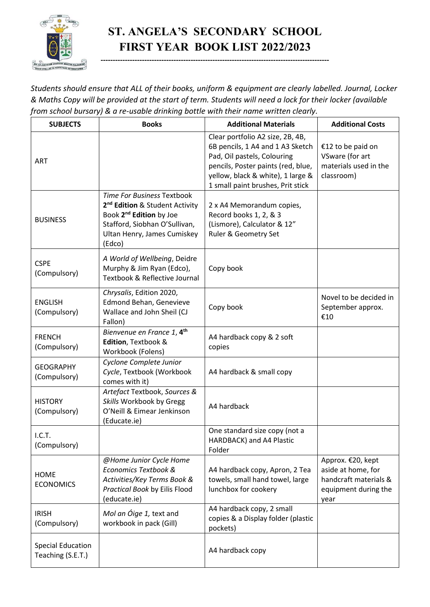

## **ST. ANGELA'S SECONDARY SCHOOL FIRST YEAR BOOK LIST 2022/2023**

**----------------------------------------------------------------------------------------------**

*Students should ensure that ALL of their books, uniform & equipment are clearly labelled. Journal, Locker & Maths Copy will be provided at the start of term. Students will need a lock for their locker (available from school bursary) & a re-usable drinking bottle with their name written clearly.*

| <b>SUBJECTS</b>                               | <b>Books</b>                                                                                                                                                                              | <b>Additional Materials</b>                                                                                                                                                                                         | <b>Additional Costs</b>                                                                          |
|-----------------------------------------------|-------------------------------------------------------------------------------------------------------------------------------------------------------------------------------------------|---------------------------------------------------------------------------------------------------------------------------------------------------------------------------------------------------------------------|--------------------------------------------------------------------------------------------------|
| <b>ART</b>                                    |                                                                                                                                                                                           | Clear portfolio A2 size, 2B, 4B,<br>6B pencils, 1 A4 and 1 A3 Sketch<br>Pad, Oil pastels, Colouring<br>pencils, Poster paints (red, blue,<br>yellow, black & white), 1 large &<br>1 small paint brushes, Prit stick | €12 to be paid on<br>VSware (for art<br>materials used in the<br>classroom)                      |
| <b>BUSINESS</b>                               | Time For Business Textbook<br>2 <sup>nd</sup> Edition & Student Activity<br>Book 2 <sup>nd</sup> Edition by Joe<br>Stafford, Siobhan O'Sullivan,<br>Ultan Henry, James Cumiskey<br>(Edco) | 2 x A4 Memorandum copies,<br>Record books 1, 2, & 3<br>(Lismore), Calculator & 12"<br>Ruler & Geometry Set                                                                                                          |                                                                                                  |
| <b>CSPE</b><br>(Compulsory)                   | A World of Wellbeing, Deidre<br>Murphy & Jim Ryan (Edco),<br>Textbook & Reflective Journal                                                                                                | Copy book                                                                                                                                                                                                           |                                                                                                  |
| <b>ENGLISH</b><br>(Compulsory)                | Chrysalis, Edition 2020,<br>Edmond Behan, Genevieve<br>Wallace and John Sheil (CJ<br>Fallon)                                                                                              | Copy book                                                                                                                                                                                                           | Novel to be decided in<br>September approx.<br>€10                                               |
| <b>FRENCH</b><br>(Compulsory)                 | Bienvenue en France 1, 4 <sup>th</sup><br>Edition, Textbook &<br>Workbook (Folens)                                                                                                        | A4 hardback copy & 2 soft<br>copies                                                                                                                                                                                 |                                                                                                  |
| <b>GEOGRAPHY</b><br>(Compulsory)              | Cyclone Complete Junior<br>Cycle, Textbook (Workbook<br>comes with it)                                                                                                                    | A4 hardback & small copy                                                                                                                                                                                            |                                                                                                  |
| <b>HISTORY</b><br>(Compulsory)                | Artefact Textbook, Sources &<br>Skills Workbook by Gregg<br>O'Neill & Eimear Jenkinson<br>(Educate.ie)                                                                                    | A4 hardback                                                                                                                                                                                                         |                                                                                                  |
| I.C.T.<br>(Compulsory)                        |                                                                                                                                                                                           | One standard size copy (not a<br>HARDBACK) and A4 Plastic<br>Folder                                                                                                                                                 |                                                                                                  |
| <b>HOME</b><br><b>ECONOMICS</b>               | @Home Junior Cycle Home<br>Economics Textbook &<br>Activities/Key Terms Book &<br>Practical Book by Eilis Flood<br>(educate.ie)                                                           | A4 hardback copy, Apron, 2 Tea<br>towels, small hand towel, large<br>lunchbox for cookery                                                                                                                           | Approx. €20, kept<br>aside at home, for<br>handcraft materials &<br>equipment during the<br>year |
| <b>IRISH</b><br>(Compulsory)                  | Mol an Óige 1, text and<br>workbook in pack (Gill)                                                                                                                                        | A4 hardback copy, 2 small<br>copies & a Display folder (plastic<br>pockets)                                                                                                                                         |                                                                                                  |
| <b>Special Education</b><br>Teaching (S.E.T.) |                                                                                                                                                                                           | A4 hardback copy                                                                                                                                                                                                    |                                                                                                  |